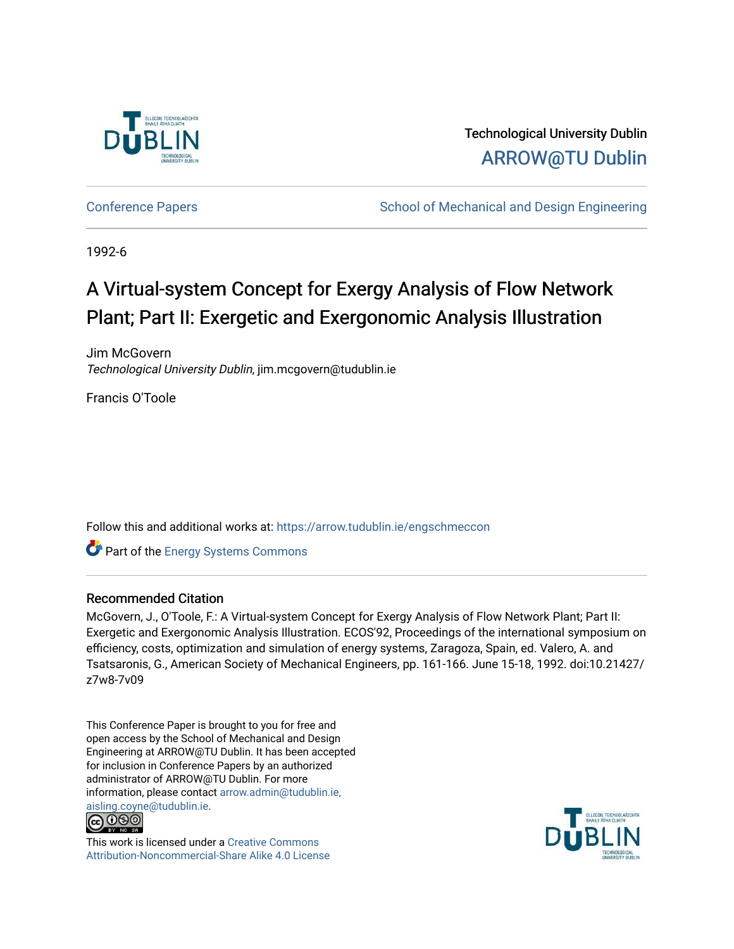

Technological University Dublin [ARROW@TU Dublin](https://arrow.tudublin.ie/) 

[Conference Papers](https://arrow.tudublin.ie/engschmeccon) **School of Mechanical and Design Engineering** School of Mechanical and Design Engineering

1992-6

# A Virtual-system Concept for Exergy Analysis of Flow Network Plant; Part II: Exergetic and Exergonomic Analysis Illustration

Jim McGovern Technological University Dublin, jim.mcgovern@tudublin.ie

Francis O'Toole

Follow this and additional works at: [https://arrow.tudublin.ie/engschmeccon](https://arrow.tudublin.ie/engschmeccon?utm_source=arrow.tudublin.ie%2Fengschmeccon%2F49&utm_medium=PDF&utm_campaign=PDFCoverPages) 

Part of the [Energy Systems Commons](http://network.bepress.com/hgg/discipline/299?utm_source=arrow.tudublin.ie%2Fengschmeccon%2F49&utm_medium=PDF&utm_campaign=PDFCoverPages) 

## Recommended Citation

McGovern, J., O'Toole, F.: A Virtual-system Concept for Exergy Analysis of Flow Network Plant; Part II: Exergetic and Exergonomic Analysis Illustration. ECOS'92, Proceedings of the international symposium on efficiency, costs, optimization and simulation of energy systems, Zaragoza, Spain, ed. Valero, A. and Tsatsaronis, G., American Society of Mechanical Engineers, pp. 161-166. June 15-18, 1992. doi:10.21427/ z7w8-7v09

This Conference Paper is brought to you for free and open access by the School of Mechanical and Design Engineering at ARROW@TU Dublin. It has been accepted for inclusion in Conference Papers by an authorized administrator of ARROW@TU Dublin. For more information, please contact [arrow.admin@tudublin.ie,](mailto:arrow.admin@tudublin.ie,%20aisling.coyne@tudublin.ie)  [aisling.coyne@tudublin.ie.](mailto:arrow.admin@tudublin.ie,%20aisling.coyne@tudublin.ie)<br>© 090



This work is licensed under a [Creative Commons](http://creativecommons.org/licenses/by-nc-sa/4.0/) [Attribution-Noncommercial-Share Alike 4.0 License](http://creativecommons.org/licenses/by-nc-sa/4.0/)

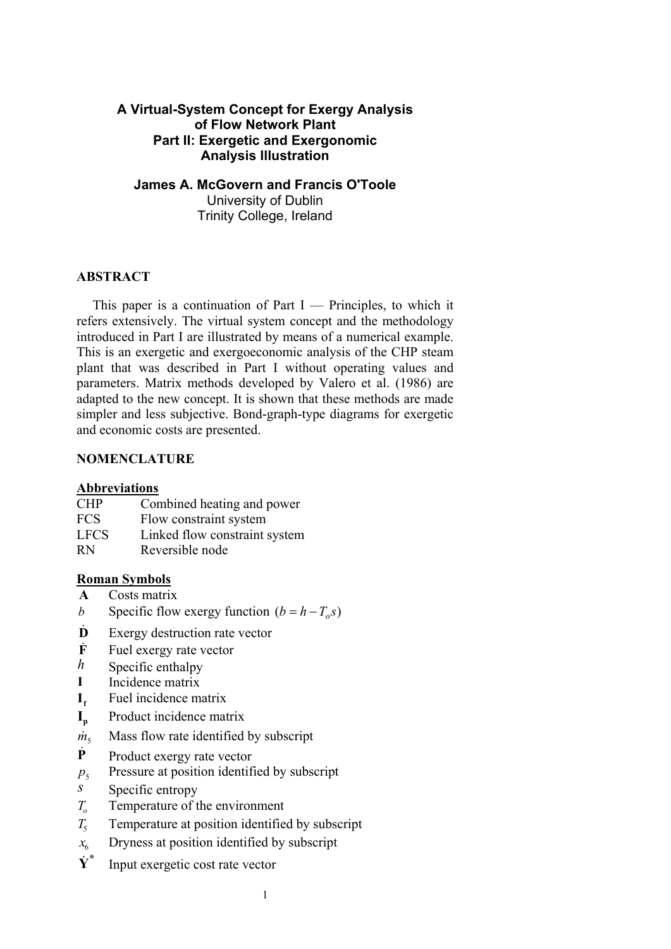# **A Virtual-System Concept for Exergy Analysis of Flow Network Plant Part II: Exergetic and Exergonomic Analysis Illustration**

**James A. McGovern and Francis O'Toole**  University of Dublin Trinity College, Ireland

#### **ABSTRACT**

This paper is a continuation of Part I — Principles, to which it refers extensively. The virtual system concept and the methodology introduced in Part I are illustrated by means of a numerical example. This is an exergetic and exergoeconomic analysis of the CHP steam plant that was described in Part I without operating values and parameters. Matrix methods developed by Valero et al. (1986) are adapted to the new concept. It is shown that these methods are made simpler and less subjective. Bond-graph-type diagrams for exergetic and economic costs are presented.

#### **NOMENCLATURE**

#### **Abbreviations**

| <b>CHP</b> | Combined heating and power |
|------------|----------------------------|
|------------|----------------------------|

- FCS Flow constraint system
- LFCS Linked flow constraint system
- RN Reversible node

## **Roman Symbols**

- **A** Costs matrix
- *b* Specific flow exergy function  $(b = h T_o s)$
- **D** Exergy destruction rate vector
- **F** Fuel exergy rate vector
- *h* Specific enthalpy
- **I** Incidence matrix
- **I**<sub>f</sub> Fuel incidence matrix
- **I<sub>p</sub>** Product incidence matrix
- $\dot{m}_s$  Mass flow rate identified by subscript
- **P** Product exergy rate vector
- $p_5$  Pressure at position identified by subscript
- *s* Specific entropy
- *T<sub>o</sub>* Temperature of the environment
- $T<sub>5</sub>$  Temperature at position identified by subscript
- Dryness at position identified by subscript *x*6
- $\dot{Y}^*$  Input exergetic cost rate vector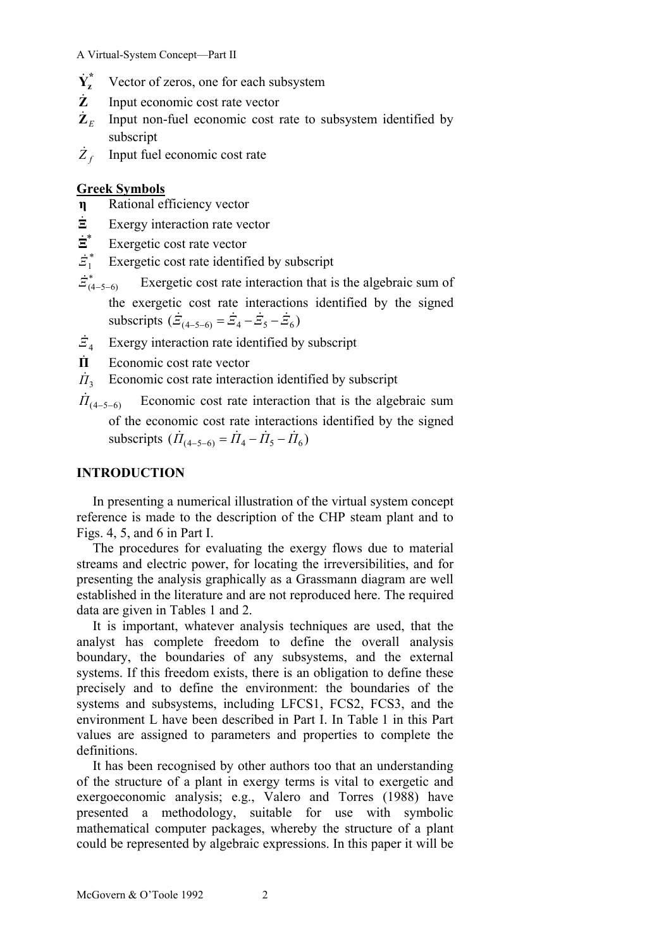- $\dot{Y}_z^*$ Vector of zeros, one for each subsystem
- **Z** Input economic cost rate vector
- $\mathbf{Z}_F$  Input non-fuel economic cost rate to subsystem identified by subscript

 $\overline{Z}_f$  Input fuel economic cost rate

# **Greek Symbols**

- **η** Rational efficiency vector
- **Ξ** Exergy interaction rate vector
- \* **Ξ** Exergetic cost rate vector
- $\dot{Z}_1^*$ Exergetic cost rate identified by subscript
- $\dot{z}_{(4-5-6)}^{*}$  Exergetic cost rate interaction that is the algebraic sum of the exergetic cost rate interactions identified by the signed subscripts  $(\dot{Z}_{(4-5-6)} = \dot{Z}_4 - \dot{Z}_5 - \dot{Z}_6)$
- *Ξ*4 Exergy interaction rate identified by subscript
- **Π** Economic cost rate vector
- $\dot{\Pi}_2$ Economic cost rate interaction identified by subscript

 $\overline{I}_{(4-5-6)}$  Economic cost rate interaction that is the algebraic sum of the economic cost rate interactions identified by the signed subscripts  $( \hat{\Pi}_{(4-5-6)} = \hat{\Pi}_4 - \hat{\Pi}_5 - \hat{\Pi}_6 )$ 

## **INTRODUCTION**

In presenting a numerical illustration of the virtual system concept reference is made to the description of the CHP steam plant and to Figs. 4, 5, and 6 in Part I.

The procedures for evaluating the exergy flows due to material streams and electric power, for locating the irreversibilities, and for presenting the analysis graphically as a Grassmann diagram are well established in the literature and are not reproduced here. The required data are given in Tables 1 and 2.

It is important, whatever analysis techniques are used, that the analyst has complete freedom to define the overall analysis boundary, the boundaries of any subsystems, and the external systems. If this freedom exists, there is an obligation to define these precisely and to define the environment: the boundaries of the systems and subsystems, including LFCS1, FCS2, FCS3, and the environment L have been described in Part I. In Table 1 in this Part values are assigned to parameters and properties to complete the definitions.

It has been recognised by other authors too that an understanding of the structure of a plant in exergy terms is vital to exergetic and exergoeconomic analysis; e.g., Valero and Torres (1988) have presented a methodology, suitable for use with symbolic mathematical computer packages, whereby the structure of a plant could be represented by algebraic expressions. In this paper it will be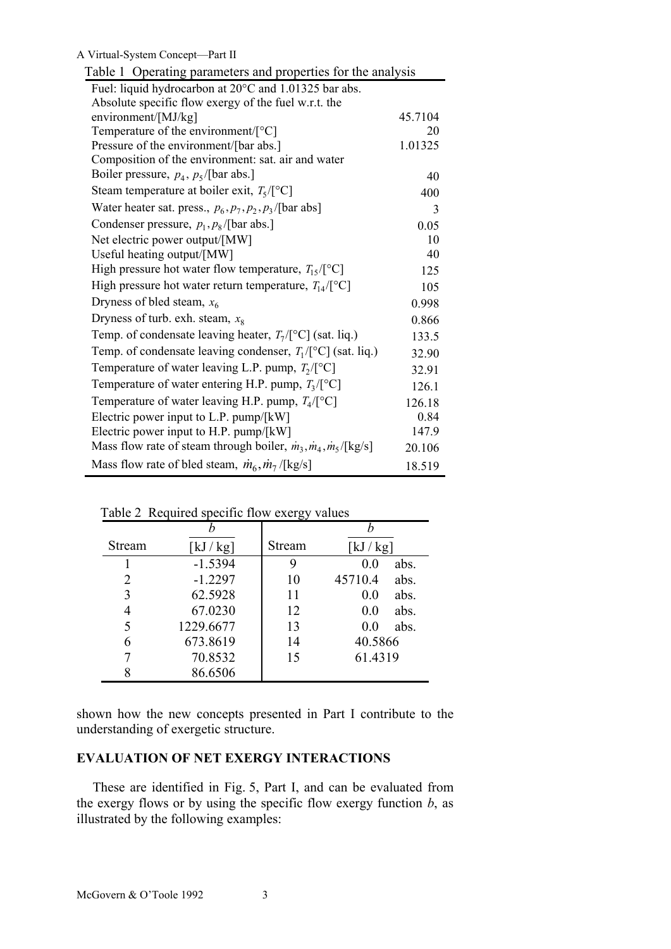| Table 1 Operating parameters and properties for the analysis                                      |               |  |  |  |  |  |  |
|---------------------------------------------------------------------------------------------------|---------------|--|--|--|--|--|--|
| Fuel: liquid hydrocarbon at 20°C and 1.01325 bar abs.                                             |               |  |  |  |  |  |  |
| Absolute specific flow exergy of the fuel w.r.t. the                                              |               |  |  |  |  |  |  |
| environment/[MJ/kg]                                                                               | 45.7104<br>20 |  |  |  |  |  |  |
| Temperature of the environment/ $[°C]$                                                            |               |  |  |  |  |  |  |
| Pressure of the environment/[bar abs.]                                                            | 1.01325       |  |  |  |  |  |  |
| Composition of the environment: sat. air and water                                                |               |  |  |  |  |  |  |
| Boiler pressure, $p_4$ , $p_5$ /[bar abs.]                                                        | 40            |  |  |  |  |  |  |
| Steam temperature at boiler exit, $T_5/\lceil^{\circ}C\rceil$                                     | 400           |  |  |  |  |  |  |
| Water heater sat. press., $p_6, p_7, p_2, p_3$ /[bar abs]                                         | 3             |  |  |  |  |  |  |
| Condenser pressure, $p_1, p_8$ /[bar abs.]                                                        | 0.05          |  |  |  |  |  |  |
| Net electric power output/[MW]                                                                    | 10            |  |  |  |  |  |  |
| Useful heating output/[MW]                                                                        | 40            |  |  |  |  |  |  |
| High pressure hot water flow temperature, $T_{15}/[^{\circ}C]$                                    | 125           |  |  |  |  |  |  |
| High pressure hot water return temperature, $T_{14}/[^{\circ}C]$                                  | 105           |  |  |  |  |  |  |
| Dryness of bled steam, $x_6$                                                                      | 0.998         |  |  |  |  |  |  |
| Dryness of turb. exh. steam, $x_8$                                                                | 0.866         |  |  |  |  |  |  |
| Temp. of condensate leaving heater, $T_7/\lceil^{\circ}C\rceil$ (sat. liq.)                       | 133.5         |  |  |  |  |  |  |
| Temp. of condensate leaving condenser, $T_1/\lceil^{\circ}C\rceil$ (sat. liq.)                    | 32.90         |  |  |  |  |  |  |
| Temperature of water leaving L.P. pump, $T_2/\lceil^{\circ}C\rceil$                               | 32.91         |  |  |  |  |  |  |
| Temperature of water entering H.P. pump, $T_3/[°C]$                                               | 126.1         |  |  |  |  |  |  |
| Temperature of water leaving H.P. pump, $T_4/\lceil^{\circ}C\rceil$                               |               |  |  |  |  |  |  |
| Electric power input to L.P. pump/ $[kW]$                                                         | 0.84          |  |  |  |  |  |  |
| Electric power input to H.P. pump/ $[kW]$                                                         | 147.9         |  |  |  |  |  |  |
| Mass flow rate of steam through boiler, $\dot{m}_3$ , $\dot{m}_4$ , $\dot{m}_5$ /[kg/s]<br>20.106 |               |  |  |  |  |  |  |
| Mass flow rate of bled steam, $\dot{m}_6$ , $\dot{m}_7$ /[kg/s]<br>18.519                         |               |  |  |  |  |  |  |

| Stream | $\left[\mathrm{kJ}/\mathrm{kg}\right]$ | Stream | $\left[\mathrm{kJ}/\mathrm{kg}\right]$ |
|--------|----------------------------------------|--------|----------------------------------------|
|        | $-1.5394$                              | 9      | 0.0<br>abs.                            |
| 2      | $-1.2297$                              | 10     | 45710.4<br>abs.                        |
| 3      | 62.5928                                | 11     | abs.<br>0.0                            |
| 4      | 67.0230                                | 12     | abs.<br>0.0                            |
| 5      | 1229.6677                              | 13     | abs.<br>0.0                            |
| 6      | 673.8619                               | 14     | 40.5866                                |
|        | 70.8532                                | 15     | 61.4319                                |
|        | 86.6506                                |        |                                        |

Table 2 Required specific flow exergy values

shown how the new concepts presented in Part I contribute to the understanding of exergetic structure.

# **EVALUATION OF NET EXERGY INTERACTIONS**

These are identified in Fig. 5, Part I, and can be evaluated from the exergy flows or by using the specific flow exergy function  $b$ , as illustrated by the following examples: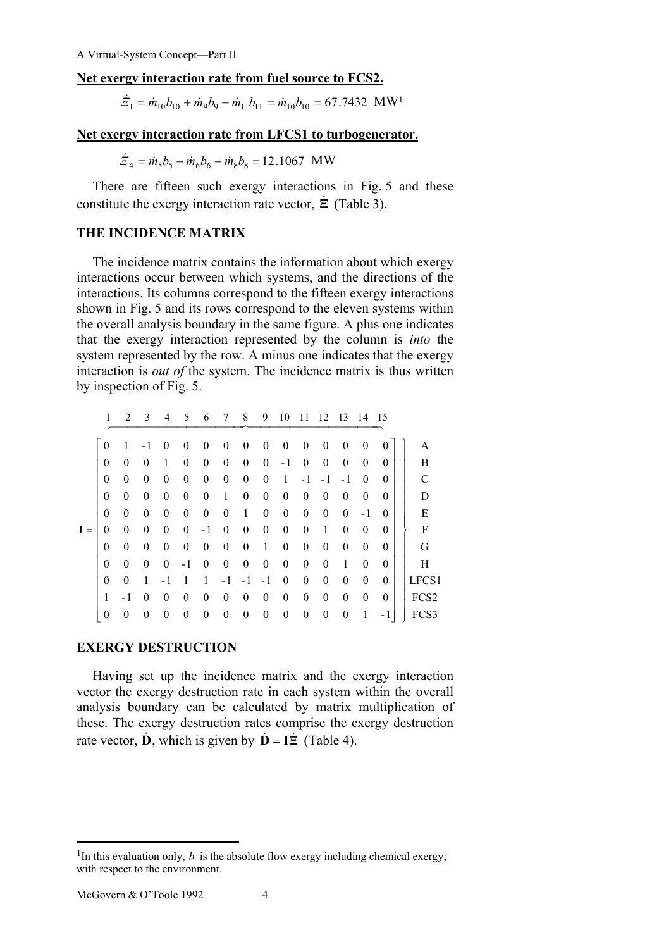# **Net exergy interaction rate from fuel source to FCS2.**

 $\dot{E}_1 = \dot{m}_{10}b_{10} + \dot{m}_9b_9 - \dot{m}_{11}b_{11} = \dot{m}_{10}b_{10} = 67.7432 \text{ MW}^1$ 

#### **Net exergy interaction rate from LFCS1 to turbogenerator.**

$$
\dot{E}_4 = \dot{m}_5 b_5 - \dot{m}_6 b_6 - \dot{m}_8 b_8 = 12.1067 \text{ MW}
$$

There are fifteen such exergy interactions in Fig. 5 and these constitute the exergy interaction rate vector, **Ξ** (Table 3).

#### **THE INCIDENCE MATRIX**

The incidence matrix contains the information about which exergy interactions occur between which systems, and the directions of the interactions. Its columns correspond to the fifteen exergy interactions shown in Fig. 5 and its rows correspond to the eleven systems within the overall analysis boundary in the same figure. A plus one indicates that the exergy interaction represented by the column is *into* the system represented by the row. A minus one indicates that the exergy interaction is *out of* the system. The incidence matrix is thus written by inspection of Fig. 5.

|       | 1                | $\mathfrak{D}$ | 3        | 4                | 5                | 6                | 7                | 8                | 9                | 10               | 11               | 12               | 13               | 14       | 15       |                  |
|-------|------------------|----------------|----------|------------------|------------------|------------------|------------------|------------------|------------------|------------------|------------------|------------------|------------------|----------|----------|------------------|
|       | $\theta$         | 1              | - 1      | 0                | $\theta$         | $\overline{0}$   | $\theta$         | $\theta$         | $\theta$         | $\overline{0}$   | $\theta$         | $\boldsymbol{0}$ | $\theta$         | $\theta$ |          | А                |
|       | $\boldsymbol{0}$ | $\theta$       | 0        | 1                | $\boldsymbol{0}$ | $\boldsymbol{0}$ | $\theta$         | $\theta$         | $\theta$         | - 1              | $\theta$         | $\boldsymbol{0}$ | $\boldsymbol{0}$ | $\theta$ | 0        | В                |
|       | $\boldsymbol{0}$ | $\theta$       | 0        | $\boldsymbol{0}$ | $\theta$         | $\theta$         | $\theta$         | $\theta$         | $\theta$         | 1                | - 1              | ÷.               | - 1              | $\theta$ | 0        | C                |
|       | $\boldsymbol{0}$ | $\theta$       | $\theta$ | $\boldsymbol{0}$ | $\boldsymbol{0}$ | $\theta$         | 1                | $\boldsymbol{0}$ | $\boldsymbol{0}$ | $\theta$         | $\theta$         | $\theta$         | $\theta$         | $\theta$ | $\Omega$ | D                |
|       | 0                | $\theta$       | $\theta$ | $\boldsymbol{0}$ | $\theta$         | $\theta$         | $\theta$         | 1                | $\boldsymbol{0}$ | $\boldsymbol{0}$ | $\overline{0}$   | $\theta$         | $\theta$         | - 1      | $\Omega$ | E                |
| $I =$ | $\theta$         | $\theta$       | $\theta$ | $\theta$         | $\theta$         | - 1              | $\theta$         | $\theta$         | $\boldsymbol{0}$ | $\boldsymbol{0}$ | $\overline{0}$   | 1                | $\theta$         | $\theta$ | $\Omega$ | F                |
|       | 0                | $\theta$       | $\theta$ | $\theta$         | $\theta$         | $\theta$         | $\theta$         | $\theta$         | 1                | $\theta$         | $\overline{0}$   | $\theta$         | $\theta$         | $\theta$ | $\Omega$ | G                |
|       | 0                | $\theta$       | $\theta$ | $\theta$         | - 1              | $\theta$         | $\theta$         | $\boldsymbol{0}$ | $\boldsymbol{0}$ | $\theta$         | $\overline{0}$   | $\theta$         | 1                | $\theta$ | $\theta$ | Н                |
|       | $\boldsymbol{0}$ | $\theta$       | 1        | - 1              |                  | 1                | - 1              | - 1              | - 1              | $\theta$         | $\overline{0}$   | $\theta$         | $\theta$         | $\theta$ | $\theta$ | LFCS1            |
|       | 1                | - 1            | 0        | $\theta$         | $\theta$         | $\theta$         | $\theta$         | $\theta$         | $\theta$         | $\theta$         | $\overline{0}$   | $\theta$         | $\theta$         | $\theta$ | $\theta$ | FCS <sub>2</sub> |
|       | $\boldsymbol{0}$ | 0              | 0        | $\boldsymbol{0}$ | $\boldsymbol{0}$ | 0                | $\boldsymbol{0}$ | $\boldsymbol{0}$ | $\boldsymbol{0}$ | $\boldsymbol{0}$ | $\boldsymbol{0}$ | $\boldsymbol{0}$ | $\boldsymbol{0}$ | 1        | - 1      | FC:              |

#### **EXERGY DESTRUCTION**

Having set up the incidence matrix and the exergy interaction vector the exergy destruction rate in each system within the overall analysis boundary can be calculated by matrix multiplication of these. The exergy destruction rates comprise the exergy destruction rate vector, **D**, which is given by  $\mathbf{D} = \mathbf{I}\mathbf{\Xi}$  (Table 4).

 $\overline{a}$ 

<sup>&</sup>lt;sup>1</sup>In this evaluation only, *b* is the absolute flow exergy including chemical exergy; with respect to the environment.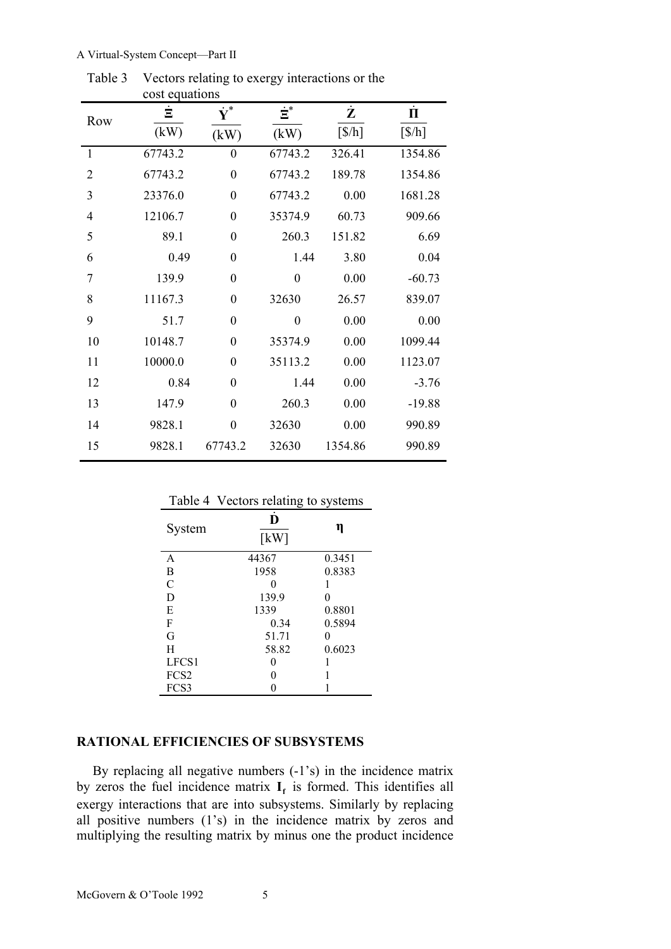|                         | cost equations |                      |                  |           |                             |
|-------------------------|----------------|----------------------|------------------|-----------|-----------------------------|
| Row                     | Ė              | $\dot{\mathbf{Y}}^*$ | $\dot{\Xi}^*$    | $\dot{z}$ | $\dot{\Pi}$                 |
|                         | (kW)           | (kW)                 | (kW)             | [\$/h]    | $\left[\frac{\$}{h}\right]$ |
| $\mathbf{1}$            | 67743.2        | $\boldsymbol{0}$     | 67743.2          | 326.41    | 1354.86                     |
| $\overline{2}$          | 67743.2        | $\boldsymbol{0}$     | 67743.2          | 189.78    | 1354.86                     |
| $\overline{\mathbf{3}}$ | 23376.0        | $\boldsymbol{0}$     | 67743.2          | 0.00      | 1681.28                     |
| $\overline{4}$          | 12106.7        | $\boldsymbol{0}$     | 35374.9          | 60.73     | 909.66                      |
| 5                       | 89.1           | $\boldsymbol{0}$     | 260.3            | 151.82    | 6.69                        |
| 6                       | 0.49           | $\boldsymbol{0}$     | 1.44             | 3.80      | 0.04                        |
| $\overline{7}$          | 139.9          | $\boldsymbol{0}$     | $\boldsymbol{0}$ | 0.00      | $-60.73$                    |
| 8                       | 11167.3        | $\boldsymbol{0}$     | 32630            | 26.57     | 839.07                      |
| 9                       | 51.7           | $\boldsymbol{0}$     | $\boldsymbol{0}$ | 0.00      | 0.00                        |
| 10                      | 10148.7        | $\overline{0}$       | 35374.9          | 0.00      | 1099.44                     |
| 11                      | 10000.0        | $\overline{0}$       | 35113.2          | 0.00      | 1123.07                     |
| 12                      | 0.84           | $\theta$             | 1.44             | 0.00      | $-3.76$                     |
| 13                      | 147.9          | $\boldsymbol{0}$     | 260.3            | 0.00      | $-19.88$                    |
| 14                      | 9828.1         | $\boldsymbol{0}$     | 32630            | 0.00      | 990.89                      |
| 15                      | 9828.1         | 67743.2              | 32630            | 1354.86   | 990.89                      |
|                         |                |                      |                  |           |                             |

Table 3 Vectors relating to exergy interactions or the cost equations

|                  | -0                        |        |
|------------------|---------------------------|--------|
| System           | D<br>$\lceil$ kW $\rceil$ | η      |
| A                | 44367                     | 0.3451 |
| B                | 1958                      | 0.8383 |
| C                |                           |        |
| D                | 139.9                     | 0      |
| E                | 1339                      | 0.8801 |
| F                | 0.34                      | 0.5894 |
| G                | 51.71                     |        |
| H                | 58.82                     | 0.6023 |
| LFCS1            |                           |        |
| FCS <sub>2</sub> |                           |        |
| FCS3             |                           |        |

Table 4 Vectors relating to systems

#### **RATIONAL EFFICIENCIES OF SUBSYSTEMS**

By replacing all negative numbers (-1's) in the incidence matrix by zeros the fuel incidence matrix  $I_f$  is formed. This identifies all exergy interactions that are into subsystems. Similarly by replacing all positive numbers (1's) in the incidence matrix by zeros and multiplying the resulting matrix by minus one the product incidence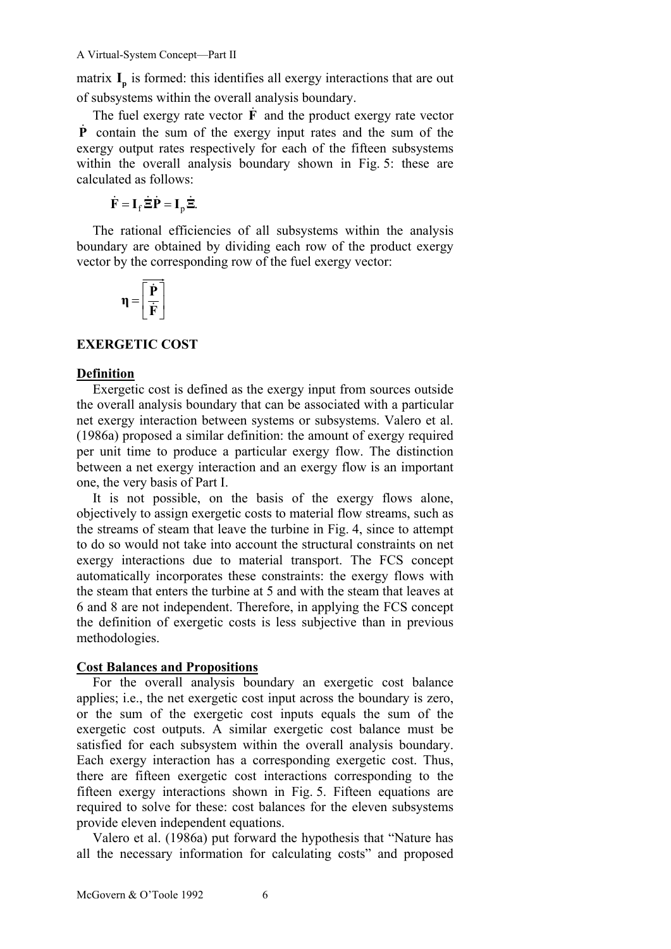matrix  $I_p$  is formed: this identifies all exergy interactions that are out of subsystems within the overall analysis boundary.

The fuel exergy rate vector  $\vec{F}$  and the product exergy rate vector **P** contain the sum of the exergy input rates and the sum of the exergy output rates respectively for each of the fifteen subsystems within the overall analysis boundary shown in Fig. 5: these are calculated as follows:

 $\dot{\mathbf{F}} = \mathbf{I}_f \dot{\boldsymbol{\Xi}} \dot{\mathbf{P}} = \mathbf{I}_n \dot{\boldsymbol{\Xi}}.$ 

The rational efficiencies of all subsystems within the analysis boundary are obtained by dividing each row of the product exergy vector by the corresponding row of the fuel exergy vector:

$$
\eta = \boxed{\frac{\dot{P}}{\dot{F}}}
$$

## **EXERGETIC COST**

#### **Definition**

Exergetic cost is defined as the exergy input from sources outside the overall analysis boundary that can be associated with a particular net exergy interaction between systems or subsystems. Valero et al. (1986a) proposed a similar definition: the amount of exergy required per unit time to produce a particular exergy flow. The distinction between a net exergy interaction and an exergy flow is an important one, the very basis of Part I.

It is not possible, on the basis of the exergy flows alone, objectively to assign exergetic costs to material flow streams, such as the streams of steam that leave the turbine in Fig. 4, since to attempt to do so would not take into account the structural constraints on net exergy interactions due to material transport. The FCS concept automatically incorporates these constraints: the exergy flows with the steam that enters the turbine at 5 and with the steam that leaves at 6 and 8 are not independent. Therefore, in applying the FCS concept the definition of exergetic costs is less subjective than in previous methodologies.

## **Cost Balances and Propositions**

For the overall analysis boundary an exergetic cost balance applies; i.e., the net exergetic cost input across the boundary is zero, or the sum of the exergetic cost inputs equals the sum of the exergetic cost outputs. A similar exergetic cost balance must be satisfied for each subsystem within the overall analysis boundary. Each exergy interaction has a corresponding exergetic cost. Thus, there are fifteen exergetic cost interactions corresponding to the fifteen exergy interactions shown in Fig. 5. Fifteen equations are required to solve for these: cost balances for the eleven subsystems provide eleven independent equations.

Valero et al. (1986a) put forward the hypothesis that "Nature has all the necessary information for calculating costs" and proposed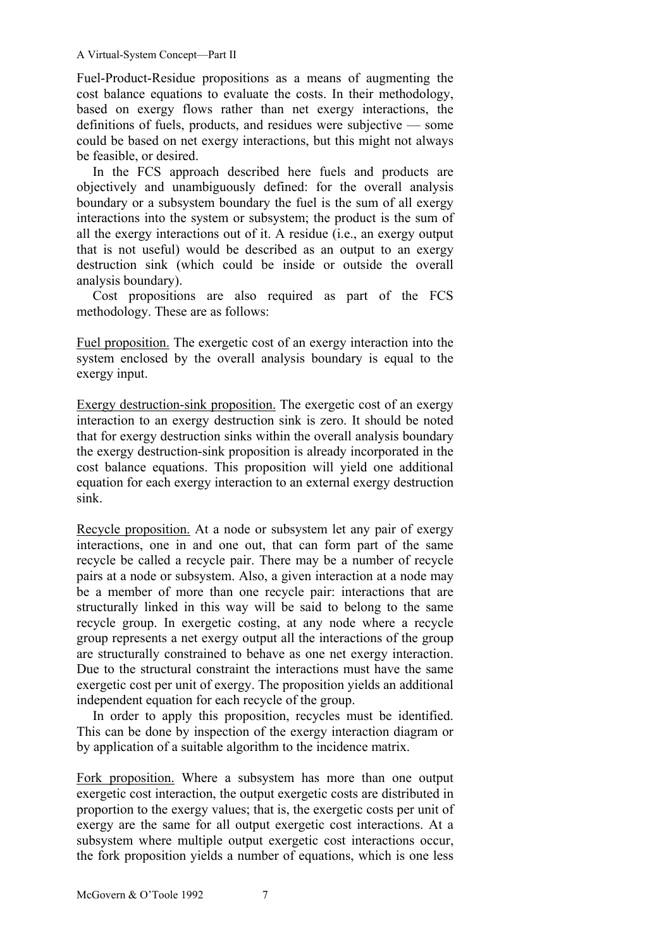Fuel-Product-Residue propositions as a means of augmenting the cost balance equations to evaluate the costs. In their methodology, based on exergy flows rather than net exergy interactions, the definitions of fuels, products, and residues were subjective — some could be based on net exergy interactions, but this might not always be feasible, or desired.

In the FCS approach described here fuels and products are objectively and unambiguously defined: for the overall analysis boundary or a subsystem boundary the fuel is the sum of all exergy interactions into the system or subsystem; the product is the sum of all the exergy interactions out of it. A residue (i.e., an exergy output that is not useful) would be described as an output to an exergy destruction sink (which could be inside or outside the overall analysis boundary).

Cost propositions are also required as part of the FCS methodology. These are as follows:

Fuel proposition. The exergetic cost of an exergy interaction into the system enclosed by the overall analysis boundary is equal to the exergy input.

Exergy destruction-sink proposition. The exergetic cost of an exergy interaction to an exergy destruction sink is zero. It should be noted that for exergy destruction sinks within the overall analysis boundary the exergy destruction-sink proposition is already incorporated in the cost balance equations. This proposition will yield one additional equation for each exergy interaction to an external exergy destruction sink.

Recycle proposition. At a node or subsystem let any pair of exergy interactions, one in and one out, that can form part of the same recycle be called a recycle pair. There may be a number of recycle pairs at a node or subsystem. Also, a given interaction at a node may be a member of more than one recycle pair: interactions that are structurally linked in this way will be said to belong to the same recycle group. In exergetic costing, at any node where a recycle group represents a net exergy output all the interactions of the group are structurally constrained to behave as one net exergy interaction. Due to the structural constraint the interactions must have the same exergetic cost per unit of exergy. The proposition yields an additional independent equation for each recycle of the group.

In order to apply this proposition, recycles must be identified. This can be done by inspection of the exergy interaction diagram or by application of a suitable algorithm to the incidence matrix.

Fork proposition. Where a subsystem has more than one output exergetic cost interaction, the output exergetic costs are distributed in proportion to the exergy values; that is, the exergetic costs per unit of exergy are the same for all output exergetic cost interactions. At a subsystem where multiple output exergetic cost interactions occur, the fork proposition yields a number of equations, which is one less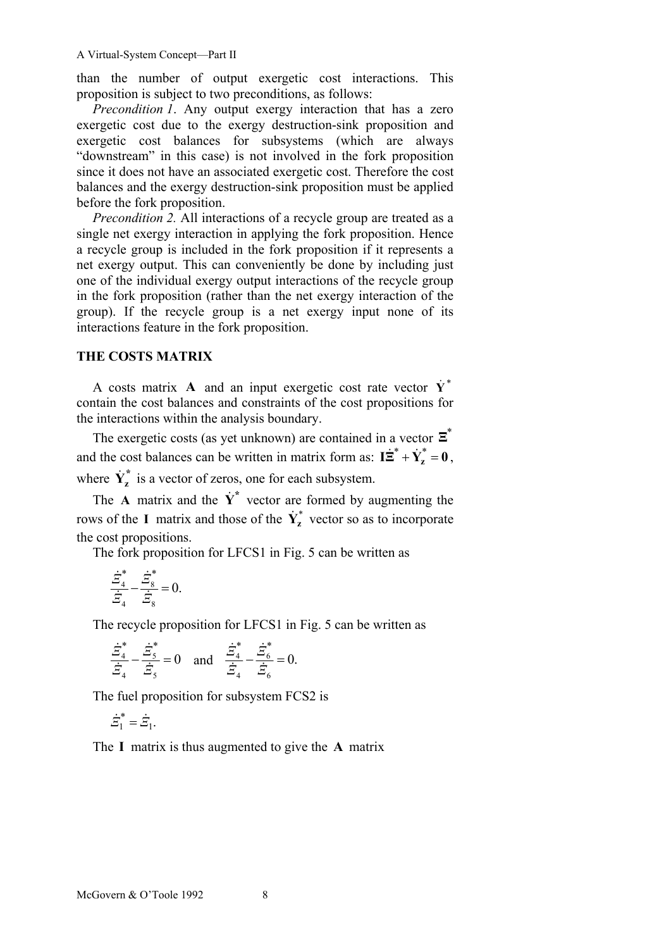than the number of output exergetic cost interactions. This proposition is subject to two preconditions, as follows:

*Precondition 1*. Any output exergy interaction that has a zero exergetic cost due to the exergy destruction-sink proposition and exergetic cost balances for subsystems (which are always "downstream" in this case) is not involved in the fork proposition since it does not have an associated exergetic cost. Therefore the cost balances and the exergy destruction-sink proposition must be applied before the fork proposition.

*Precondition 2.* All interactions of a recycle group are treated as a single net exergy interaction in applying the fork proposition. Hence a recycle group is included in the fork proposition if it represents a net exergy output. This can conveniently be done by including just one of the individual exergy output interactions of the recycle group in the fork proposition (rather than the net exergy interaction of the group). If the recycle group is a net exergy input none of its interactions feature in the fork proposition.

#### **THE COSTS MATRIX**

A costs matrix A and an input exergetic cost rate vector  $\dot{Y}^*$ contain the cost balances and constraints of the cost propositions for the interactions within the analysis boundary.

The exergetic costs (as yet unknown) are contained in a vector  $\Xi^*$ and the cost balances can be written in matrix form as:  $I\ddot{\Xi}^* + \dot{Y}_z^* = 0$ , where  $\dot{Y}_z^*$  is a vector of zeros, one for each subsystem.

The **A** matrix and the  $\dot{Y}^*$  vector are formed by augmenting the rows of the **I** matrix and those of the  $\dot{Y}_z^*$  vector so as to incorporate the cost propositions.

The fork proposition for LFCS1 in Fig. 5 can be written as

$$
\frac{\dot{\Xi}_4^*}{\dot{\Xi}_4} - \frac{\dot{\Xi}_8^*}{\dot{\Xi}_8} = 0.
$$

The recycle proposition for LFCS1 in Fig. 5 can be written as

$$
\frac{\dot{\Xi}_4^*}{\dot{\Xi}_4} - \frac{\dot{\Xi}_5^*}{\dot{\Xi}_5} = 0 \text{ and } \frac{\dot{\Xi}_4^*}{\dot{\Xi}_4} - \frac{\dot{\Xi}_6^*}{\dot{\Xi}_6} = 0.
$$

The fuel proposition for subsystem FCS2 is

$$
\dot{\varXi}_1^* = \dot{\varXi}_1.
$$

The **I** matrix is thus augmented to give the **A** matrix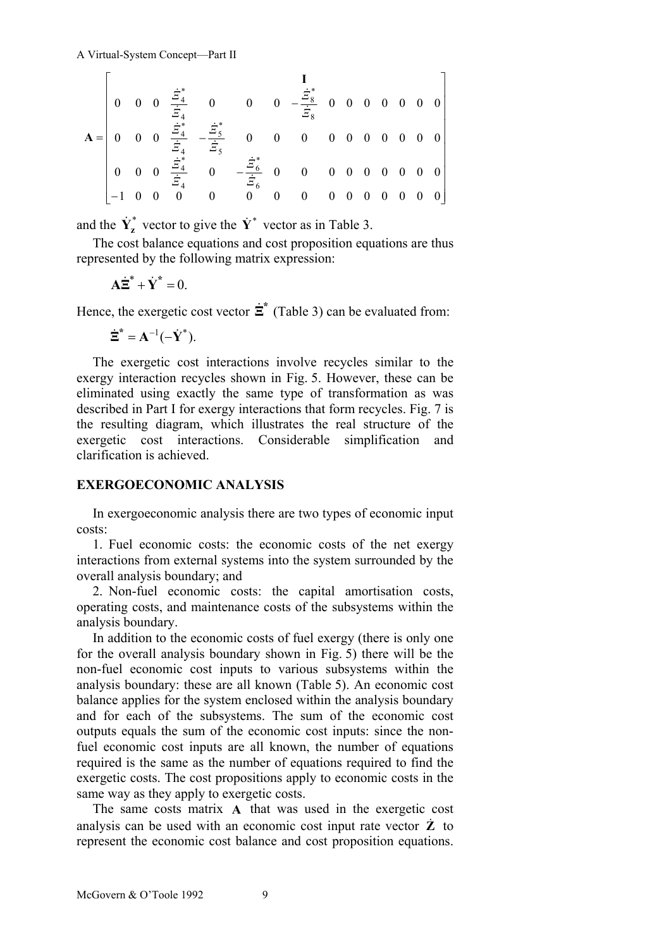$$
\mathbf{A} = \begin{bmatrix}\n0 & 0 & 0 & \frac{\dot{\Xi}^*}{\dot{\Xi}_4} & 0 & 0 & 0 & -\frac{\dot{\Xi}^*}{\dot{\Xi}_8} & 0 & 0 & 0 & 0 & 0 & 0 \\
0 & 0 & 0 & \frac{\dot{\Xi}^*}{\dot{\Xi}_4} & -\frac{\dot{\Xi}^*}{\dot{\Xi}_5} & 0 & 0 & 0 & 0 & 0 & 0 & 0 & 0 \\
0 & 0 & 0 & \frac{\dot{\Xi}^*}{\dot{\Xi}_4} & -\frac{\dot{\Xi}^*}{\dot{\Xi}_5} & 0 & 0 & 0 & 0 & 0 & 0 & 0 & 0 \\
-1 & 0 & 0 & 0 & 0 & 0 & 0 & 0 & 0 & 0 & 0 & 0 & 0\n\end{bmatrix}
$$

and the  $\dot{Y}_z^*$  vector to give the  $\dot{Y}^*$  vector as in Table 3.

The cost balance equations and cost proposition equations are thus represented by the following matrix expression:

$$
\mathbf{A}\dot{\Xi}^* + \dot{\mathbf{Y}}^* = 0.
$$

Hence, the exergetic cost vector  $\dot{\Xi}^*$  (Table 3) can be evaluated from:

$$
\dot{\Xi}^* = \mathbf{A}^{-1}(-\dot{\mathbf{Y}}^*).
$$

The exergetic cost interactions involve recycles similar to the exergy interaction recycles shown in Fig. 5. However, these can be eliminated using exactly the same type of transformation as was described in Part I for exergy interactions that form recycles. Fig. 7 is the resulting diagram, which illustrates the real structure of the exergetic cost interactions. Considerable simplification and clarification is achieved.

#### **EXERGOECONOMIC ANALYSIS**

In exergoeconomic analysis there are two types of economic input costs:

1. Fuel economic costs: the economic costs of the net exergy interactions from external systems into the system surrounded by the overall analysis boundary; and

2. Non-fuel economic costs: the capital amortisation costs, operating costs, and maintenance costs of the subsystems within the analysis boundary.

In addition to the economic costs of fuel exergy (there is only one for the overall analysis boundary shown in Fig. 5) there will be the non-fuel economic cost inputs to various subsystems within the analysis boundary: these are all known (Table 5). An economic cost balance applies for the system enclosed within the analysis boundary and for each of the subsystems. The sum of the economic cost outputs equals the sum of the economic cost inputs: since the nonfuel economic cost inputs are all known, the number of equations required is the same as the number of equations required to find the exergetic costs. The cost propositions apply to economic costs in the same way as they apply to exergetic costs.

The same costs matrix **A** that was used in the exergetic cost analysis can be used with an economic cost input rate vector  $\dot{Z}$  to represent the economic cost balance and cost proposition equations.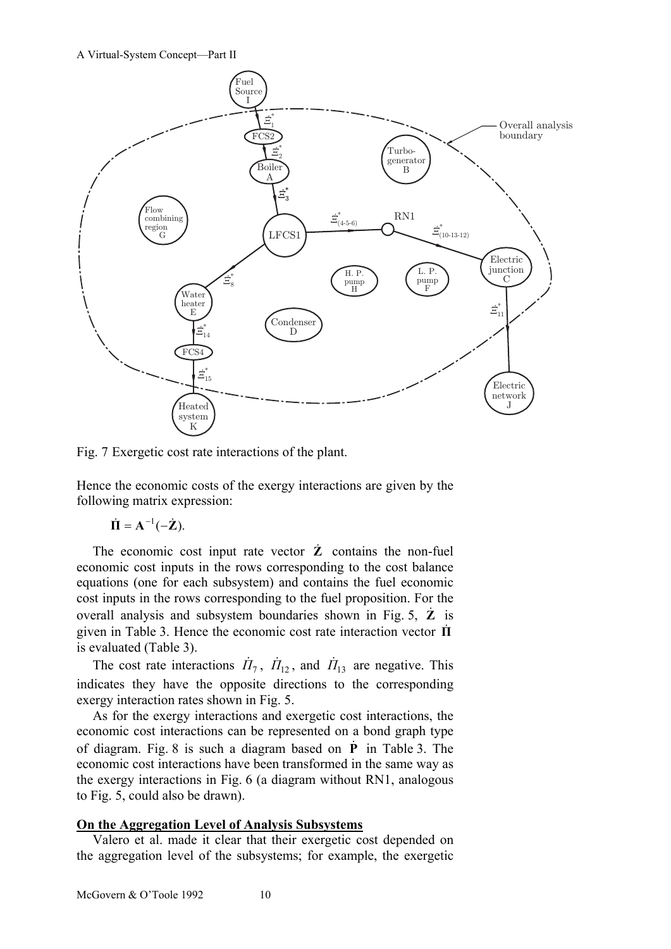

Fig. 7 Exergetic cost rate interactions of the plant.

Hence the economic costs of the exergy interactions are given by the following matrix expression:

$$
\dot{\mathbf{\Pi}} = \mathbf{A}^{-1}(-\dot{\mathbf{Z}}).
$$

The economic cost input rate vector  $\dot{Z}$  contains the non-fuel economic cost inputs in the rows corresponding to the cost balance equations (one for each subsystem) and contains the fuel economic cost inputs in the rows corresponding to the fuel proposition. For the overall analysis and subsystem boundaries shown in Fig. 5, **Z** is given in Table 3. Hence the economic cost rate interaction vector **Π** is evaluated (Table 3).

The cost rate interactions  $\dot{H}_7$ ,  $\dot{H}_{12}$ , and  $\dot{H}_{13}$  are negative. This indicates they have the opposite directions to the corresponding exergy interaction rates shown in Fig. 5.

As for the exergy interactions and exergetic cost interactions, the economic cost interactions can be represented on a bond graph type of diagram. Fig. 8 is such a diagram based on **P** in Table 3. The economic cost interactions have been transformed in the same way as the exergy interactions in Fig. 6 (a diagram without RN1, analogous to Fig. 5, could also be drawn).

## **On the Aggregation Level of Analysis Subsystems**

Valero et al. made it clear that their exergetic cost depended on the aggregation level of the subsystems; for example, the exergetic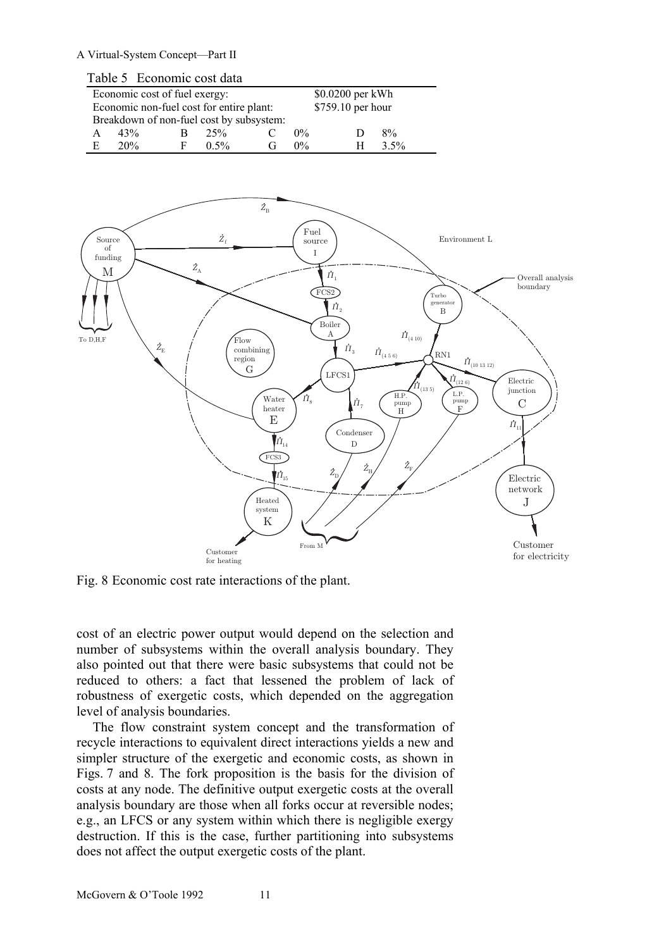|   |     | Table 5 Economic cost data               |         |                                          |                   |   |         |  |
|---|-----|------------------------------------------|---------|------------------------------------------|-------------------|---|---------|--|
|   |     | Economic cost of fuel exergy:            |         | \$0.0200 per kWh                         |                   |   |         |  |
|   |     | Economic non-fuel cost for entire plant: |         |                                          | \$759.10 per hour |   |         |  |
|   |     |                                          |         | Breakdown of non-fuel cost by subsystem: |                   |   |         |  |
| А | 43% | R                                        | 25%     |                                          | $0\%$             |   | 8%      |  |
| E | 20% | F                                        | $0.5\%$ | (ì                                       | $0\%$             | н | $3.5\%$ |  |



Fig. 8 Economic cost rate interactions of the plant.

cost of an electric power output would depend on the selection and number of subsystems within the overall analysis boundary. They also pointed out that there were basic subsystems that could not be reduced to others: a fact that lessened the problem of lack of robustness of exergetic costs, which depended on the aggregation level of analysis boundaries.

The flow constraint system concept and the transformation of recycle interactions to equivalent direct interactions yields a new and simpler structure of the exergetic and economic costs, as shown in Figs. 7 and 8. The fork proposition is the basis for the division of costs at any node. The definitive output exergetic costs at the overall analysis boundary are those when all forks occur at reversible nodes; e.g., an LFCS or any system within which there is negligible exergy destruction. If this is the case, further partitioning into subsystems does not affect the output exergetic costs of the plant.